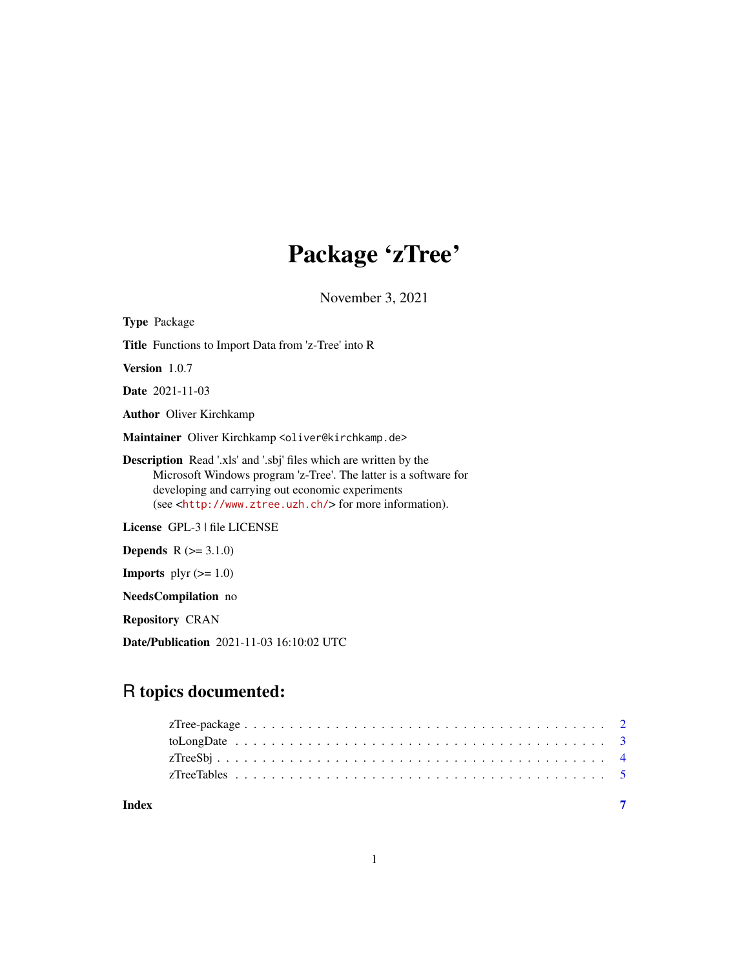## Package 'zTree'

November 3, 2021

Type Package Title Functions to Import Data from 'z-Tree' into R Version 1.0.7 Date 2021-11-03 Author Oliver Kirchkamp Maintainer Oliver Kirchkamp <oliver@kirchkamp.de> Description Read '.xls' and '.sbj' files which are written by the Microsoft Windows program 'z-Tree'. The latter is a software for developing and carrying out economic experiments (see <<http://www.ztree.uzh.ch/>> for more information). License GPL-3 | file LICENSE **Depends**  $R$  ( $>= 3.1.0$ ) **Imports** plyr  $(>= 1.0)$ 

NeedsCompilation no

Repository CRAN

Date/Publication 2021-11-03 16:10:02 UTC

### R topics documented:

| Index |  |
|-------|--|
|       |  |
|       |  |
|       |  |
|       |  |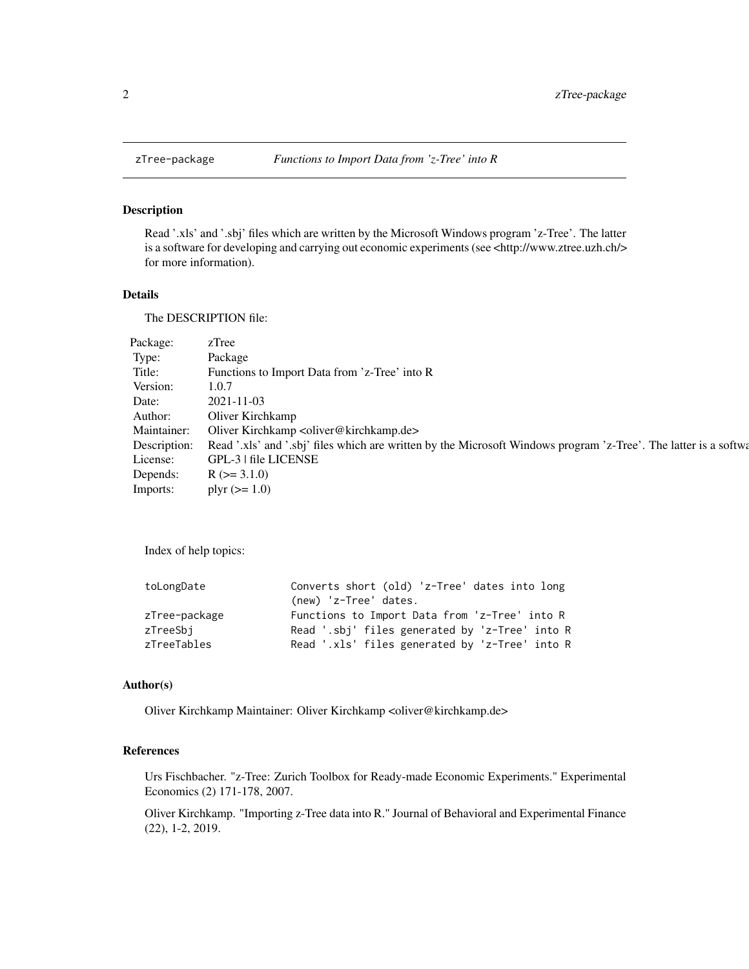<span id="page-1-0"></span>

#### Description

Read '.xls' and '.sbj' files which are written by the Microsoft Windows program 'z-Tree'. The latter is a software for developing and carrying out economic experiments (see <http://www.ztree.uzh.ch/> for more information).

#### Details

The DESCRIPTION file:

| Package:     | zTree                                                                                                            |
|--------------|------------------------------------------------------------------------------------------------------------------|
| Type:        | Package                                                                                                          |
| Title:       | Functions to Import Data from 'z-Tree' into R                                                                    |
| Version:     | 1.0.7                                                                                                            |
| Date:        | 2021-11-03                                                                                                       |
| Author:      | Oliver Kirchkamp                                                                                                 |
| Maintainer:  | Oliver Kirchkamp <oliver@kirchkamp.de></oliver@kirchkamp.de>                                                     |
| Description: | Read '.xls' and '.sbj' files which are written by the Microsoft Windows program 'z-Tree'. The latter is a softwa |
| License:     | GPL-3   file LICENSE                                                                                             |
| Depends:     | $R$ ( $>=$ 3.1.0)                                                                                                |
| Imports:     | plyr $(>= 1.0)$                                                                                                  |

Index of help topics:

| toLongDate    | Converts short (old) 'z-Tree' dates into long  |
|---------------|------------------------------------------------|
|               | (new) 'z-Tree' dates.                          |
| zTree-package | Functions to Import Data from 'z-Tree' into R  |
| zTreeSbi      | Read '.sbj' files generated by 'z-Tree' into R |
| zTreeTables   | Read '.xls' files generated by 'z-Tree' into R |

#### Author(s)

Oliver Kirchkamp Maintainer: Oliver Kirchkamp <oliver@kirchkamp.de>

#### References

Urs Fischbacher. "z-Tree: Zurich Toolbox for Ready-made Economic Experiments." Experimental Economics (2) 171-178, 2007.

Oliver Kirchkamp. "Importing z-Tree data into R." Journal of Behavioral and Experimental Finance (22), 1-2, 2019.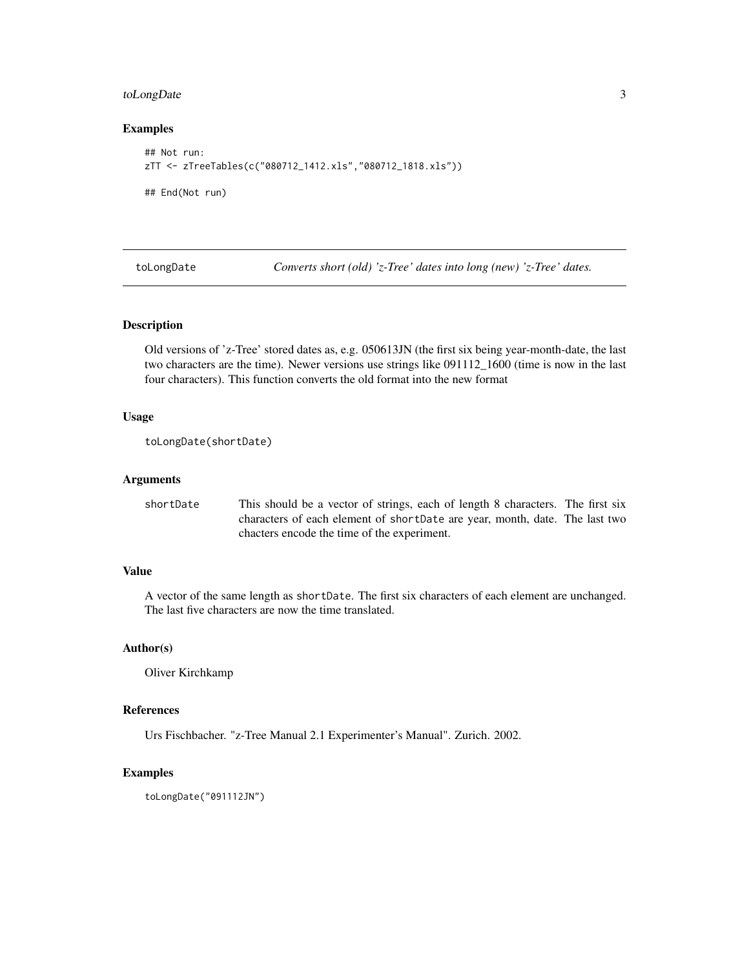#### <span id="page-2-0"></span>toLongDate 3

#### Examples

```
## Not run:
zTT <- zTreeTables(c("080712_1412.xls","080712_1818.xls"))
## End(Not run)
```
toLongDate *Converts short (old) 'z-Tree' dates into long (new) 'z-Tree' dates.*

#### Description

Old versions of 'z-Tree' stored dates as, e.g. 050613JN (the first six being year-month-date, the last two characters are the time). Newer versions use strings like 091112\_1600 (time is now in the last four characters). This function converts the old format into the new format

#### Usage

```
toLongDate(shortDate)
```
#### Arguments

shortDate This should be a vector of strings, each of length 8 characters. The first six characters of each element of shortDate are year, month, date. The last two chacters encode the time of the experiment.

#### Value

A vector of the same length as shortDate. The first six characters of each element are unchanged. The last five characters are now the time translated.

#### Author(s)

Oliver Kirchkamp

#### References

Urs Fischbacher. "z-Tree Manual 2.1 Experimenter's Manual". Zurich. 2002.

#### Examples

toLongDate("091112JN")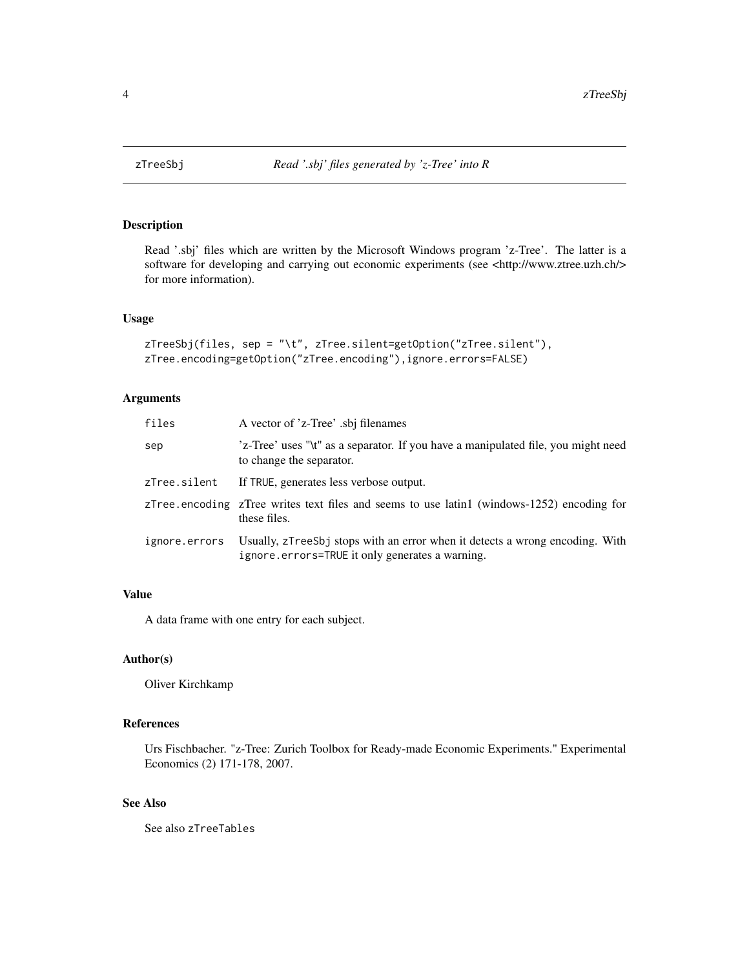<span id="page-3-0"></span>

#### Description

Read '.sbj' files which are written by the Microsoft Windows program 'z-Tree'. The latter is a software for developing and carrying out economic experiments (see <http://www.ztree.uzh.ch/> for more information).

#### Usage

```
zTreeSbj(files, sep = "\t", zTree.silent=getOption("zTree.silent"),
zTree.encoding=getOption("zTree.encoding"),ignore.errors=FALSE)
```
#### Arguments

| files         | A vector of 'z-Tree' .sbj filenames                                                                                             |
|---------------|---------------------------------------------------------------------------------------------------------------------------------|
| sep           | 'z-Tree' uses "\t" as a separator. If you have a manipulated file, you might need<br>to change the separator.                   |
| zTree.silent  | If TRUE, generates less verbose output.                                                                                         |
|               | zTree encoding zTree writes text files and seems to use latin1 (windows-1252) encoding for<br>these files.                      |
| ignore.errors | Usually, zTreeSbj stops with an error when it detects a wrong encoding. With<br>ignore.errors=TRUE it only generates a warning. |

#### Value

A data frame with one entry for each subject.

#### Author(s)

Oliver Kirchkamp

#### References

Urs Fischbacher. "z-Tree: Zurich Toolbox for Ready-made Economic Experiments." Experimental Economics (2) 171-178, 2007.

#### See Also

See also zTreeTables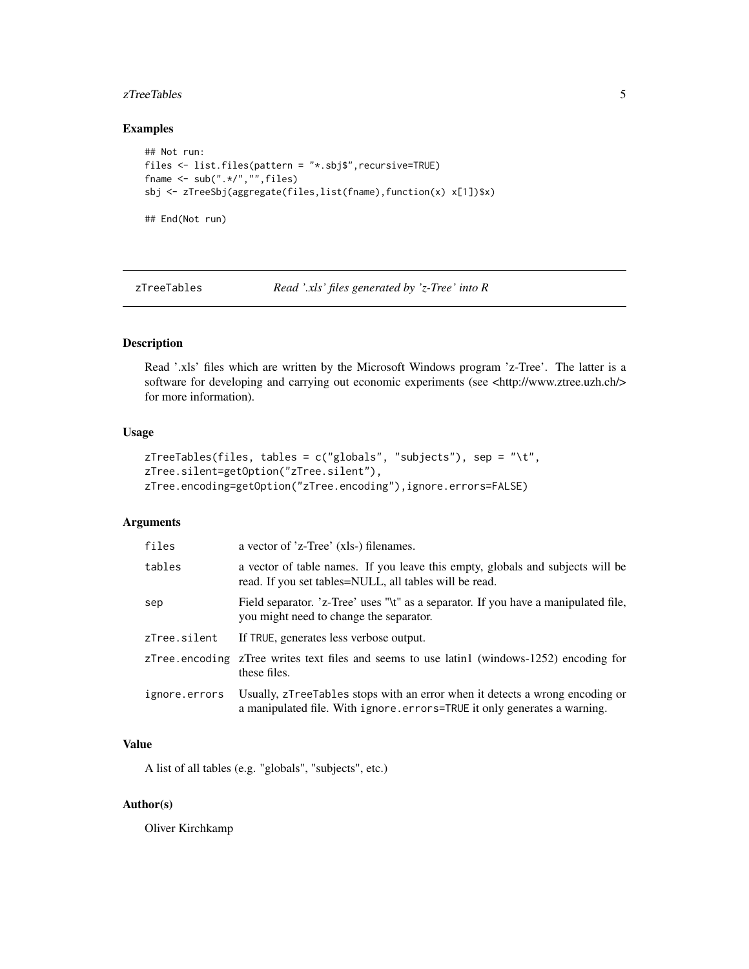#### <span id="page-4-0"></span>zTreeTables 5

#### Examples

```
## Not run:
files <- list.files(pattern = "*.sbj$",recursive=TRUE)
fname \leq sub(".*/","",files)
sbj <- zTreeSbj(aggregate(files,list(fname),function(x) x[1])$x)
## End(Not run)
```
zTreeTables *Read '.xls' files generated by 'z-Tree' into R*

#### Description

Read '.xls' files which are written by the Microsoft Windows program 'z-Tree'. The latter is a software for developing and carrying out economic experiments (see <http://www.ztree.uzh.ch/> for more information).

#### Usage

```
zTreeTables(files, tables = c("globals", "subjects"), sep = "\t",
zTree.silent=getOption("zTree.silent"),
zTree.encoding=getOption("zTree.encoding"),ignore.errors=FALSE)
```
#### Arguments

| files         | a vector of 'z-Tree' (xls-) filenames.                                                                                                                   |
|---------------|----------------------------------------------------------------------------------------------------------------------------------------------------------|
| tables        | a vector of table names. If you leave this empty, globals and subjects will be<br>read. If you set tables=NULL, all tables will be read.                 |
| sep           | Field separator. 'z-Tree' uses "\t" as a separator. If you have a manipulated file,<br>you might need to change the separator.                           |
| zTree.silent  | If TRUE, generates less verbose output.                                                                                                                  |
|               | zTree encoding zTree writes text files and seems to use latin1 (windows-1252) encoding for<br>these files.                                               |
| ignore.errors | Usually, zTreeTables stops with an error when it detects a wrong encoding or<br>a manipulated file. With ignore errors=TRUE it only generates a warning. |

#### Value

A list of all tables (e.g. "globals", "subjects", etc.)

#### Author(s)

Oliver Kirchkamp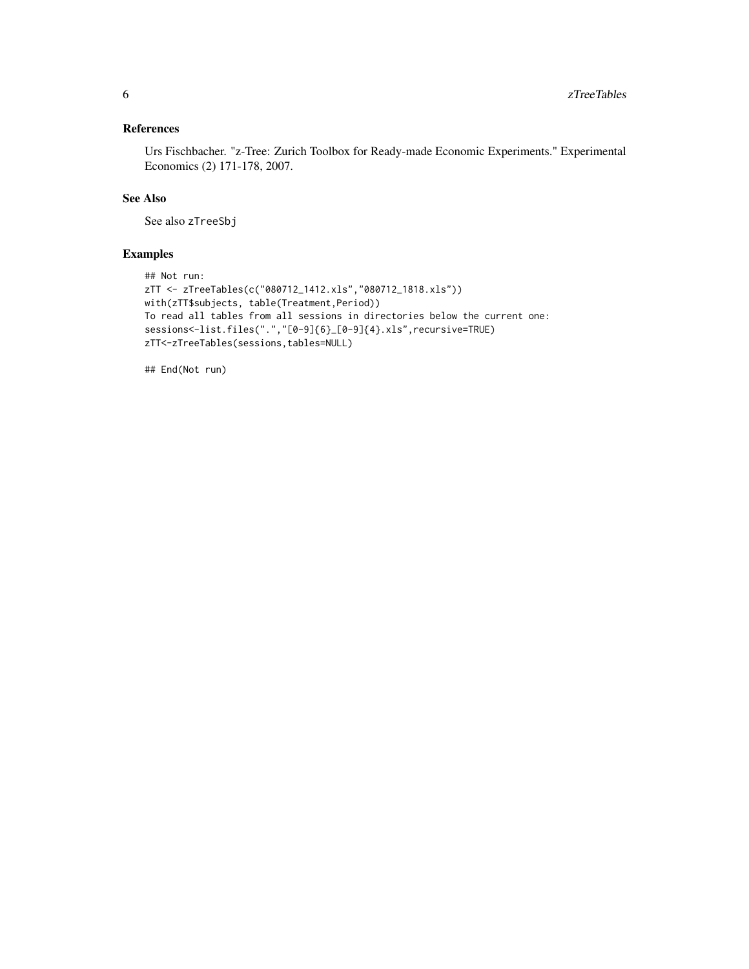#### References

Urs Fischbacher. "z-Tree: Zurich Toolbox for Ready-made Economic Experiments." Experimental Economics (2) 171-178, 2007.

#### See Also

See also zTreeSbj

#### Examples

```
## Not run:
zTT <- zTreeTables(c("080712_1412.xls","080712_1818.xls"))
with(zTT$subjects, table(Treatment,Period))
To read all tables from all sessions in directories below the current one:
sessions<-list.files(".","[0-9]{6}_[0-9]{4}.xls",recursive=TRUE)
zTT<-zTreeTables(sessions,tables=NULL)
```
## End(Not run)